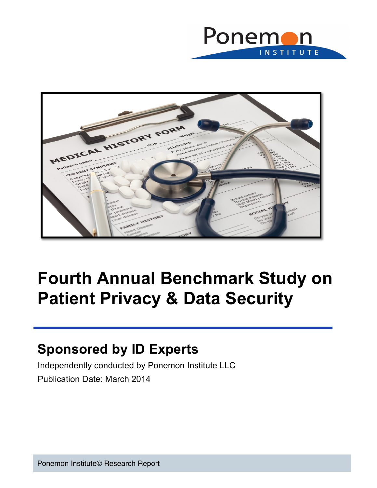



# **Fourth Annual Benchmark Study on Patient Privacy & Data Security**

# **Sponsored by ID Experts**

Independently conducted by Ponemon Institute LLC Publication Date: March 2014

Ponemon Institute© Research Report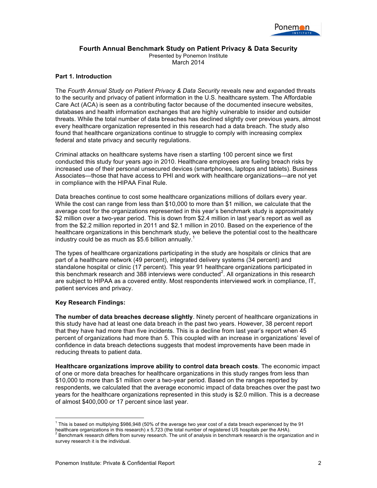

## **Fourth Annual Benchmark Study on Patient Privacy & Data Security**

Presented by Ponemon Institute March 2014

### **Part 1. Introduction**

The *Fourth Annual Study on Patient Privacy & Data Security* reveals new and expanded threats to the security and privacy of patient information in the U.S. healthcare system. The Affordable Care Act (ACA) is seen as a contributing factor because of the documented insecure websites, databases and health information exchanges that are highly vulnerable to insider and outsider threats. While the total number of data breaches has declined slightly over previous years, almost every healthcare organization represented in this research had a data breach. The study also found that healthcare organizations continue to struggle to comply with increasing complex federal and state privacy and security regulations.

Criminal attacks on healthcare systems have risen a startling 100 percent since we first conducted this study four years ago in 2010. Healthcare employees are fueling breach risks by increased use of their personal unsecured devices (smartphones, laptops and tablets). Business Associates—those that have access to PHI and work with healthcare organizations—are not yet in compliance with the HIPAA Final Rule.

Data breaches continue to cost some healthcare organizations millions of dollars every year. While the cost can range from less than \$10,000 to more than \$1 million, we calculate that the average cost for the organizations represented in this year's benchmark study is approximately \$2 million over a two-year period. This is down from \$2.4 million in last year's report as well as from the \$2.2 million reported in 2011 and \$2.1 million in 2010. Based on the experience of the healthcare organizations in this benchmark study, we believe the potential cost to the healthcare industry could be as much as \$5.6 billion annually.<sup>1</sup>

The types of healthcare organizations participating in the study are hospitals or clinics that are part of a healthcare network (49 percent), integrated delivery systems (34 percent) and standalone hospital or clinic (17 percent). This year 91 healthcare organizations participated in this benchmark research and 388 interviews were conducted<sup>2</sup>. All organizations in this research are subject to HIPAA as a covered entity. Most respondents interviewed work in compliance, IT, patient services and privacy.

#### **Key Research Findings:**

**The number of data breaches decrease slightly**. Ninety percent of healthcare organizations in this study have had at least one data breach in the past two years. However, 38 percent report that they have had more than five incidents. This is a decline from last year's report when 45 percent of organizations had more than 5. This coupled with an increase in organizations' level of confidence in data breach detections suggests that modest improvements have been made in reducing threats to patient data.

**Healthcare organizations improve ability to control data breach costs**. The economic impact of one or more data breaches for healthcare organizations in this study ranges from less than \$10,000 to more than \$1 million over a two-year period. Based on the ranges reported by respondents, we calculated that the average economic impact of data breaches over the past two years for the healthcare organizations represented in this study is \$2.0 million. This is a decrease of almost \$400,000 or 17 percent since last year.

 

 $^1$  This is based on multiplying \$986,948 (50% of the average two year cost of a data breach experienced by the 91

healthcare organizations in this research) x 5,723 (the total number of registered US hospitals per the AHA).

<sup>2</sup> Benchmark research differs from survey research. The unit of analysis in benchmark research is the organization and in survey research it is the individual.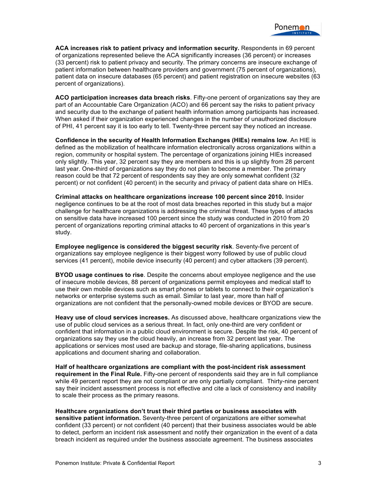**ACA increases risk to patient privacy and information security.** Respondents in 69 percent of organizations represented believe the ACA significantly increases (36 percent) or increases (33 percent) risk to patient privacy and security. The primary concerns are insecure exchange of patient information between healthcare providers and government (75 percent of organizations), patient data on insecure databases (65 percent) and patient registration on insecure websites (63 percent of organizations).

**ACO participation increases data breach risks**. Fifty-one percent of organizations say they are part of an Accountable Care Organization (ACO) and 66 percent say the risks to patient privacy and security due to the exchange of patient health information among participants has increased. When asked if their organization experienced changes in the number of unauthorized disclosure of PHI, 41 percent say it is too early to tell. Twenty-three percent say they noticed an increase.

**Confidence in the security of Health Information Exchanges (HIEs) remains low**. An HIE is defined as the mobilization of healthcare information electronically across organizations within a region, community or hospital system. The percentage of organizations joining HIEs increased only slightly. This year, 32 percent say they are members and this is up slightly from 28 percent last year. One-third of organizations say they do not plan to become a member. The primary reason could be that 72 percent of respondents say they are only somewhat confident (32 percent) or not confident (40 percent) in the security and privacy of patient data share on HIEs.

**Criminal attacks on healthcare organizations increase 100 percent since 2010.** Insider negligence continues to be at the root of most data breaches reported in this study but a major challenge for healthcare organizations is addressing the criminal threat. These types of attacks on sensitive data have increased 100 percent since the study was conducted in 2010 from 20 percent of organizations reporting criminal attacks to 40 percent of organizations in this year's study.

**Employee negligence is considered the biggest security risk**. Seventy-five percent of organizations say employee negligence is their biggest worry followed by use of public cloud services (41 percent), mobile device insecurity (40 percent) and cyber attackers (39 percent).

**BYOD usage continues to rise**. Despite the concerns about employee negligence and the use of insecure mobile devices, 88 percent of organizations permit employees and medical staff to use their own mobile devices such as smart phones or tablets to connect to their organization's networks or enterprise systems such as email. Similar to last year, more than half of organizations are not confident that the personally-owned mobile devices or BYOD are secure.

**Heavy use of cloud services increases.** As discussed above, healthcare organizations view the use of public cloud services as a serious threat. In fact, only one-third are very confident or confident that information in a public cloud environment is secure. Despite the risk, 40 percent of organizations say they use the cloud heavily, an increase from 32 percent last year. The applications or services most used are backup and storage, file-sharing applications, business applications and document sharing and collaboration.

**Half of healthcare organizations are compliant with the post-incident risk assessment requirement in the Final Rule.** Fifty-one percent of respondents said they are in full compliance while 49 percent report they are not compliant or are only partially compliant. Thirty-nine percent say their incident assessment process is not effective and cite a lack of consistency and inability to scale their process as the primary reasons.

**Healthcare organizations don't trust their third parties or business associates with sensitive patient information.** Seventy-three percent of organizations are either somewhat confident (33 percent) or not confident (40 percent) that their business associates would be able to detect, perform an incident risk assessment and notify their organization in the event of a data breach incident as required under the business associate agreement. The business associates